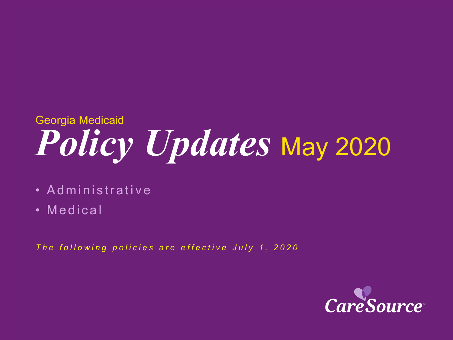# *Policy Updates* May 2020 Georgia Medicaid

- Administrative
- Medical

*The following policies are effective July 1, 2020*

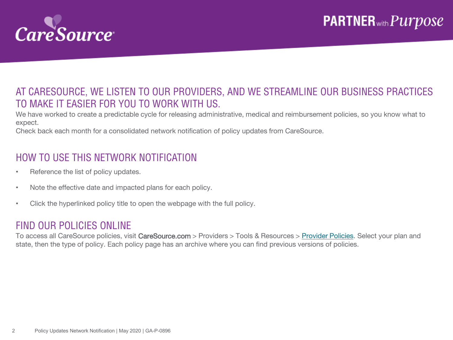

### AT CARESOURCE, WE LISTEN TO OUR PROVIDERS, AND WE STREAMLINE OUR BUSINESS PRACTICES TO MAKE IT EASIER FOR YOU TO WORK WITH US.

We have worked to create a predictable cycle for releasing administrative, medical and reimbursement policies, so you know what to expect.

Check back each month for a consolidated network notification of policy updates from CareSource.

### HOW TO USE THIS NETWORK NOTIFICATION

- Reference the list of policy updates.
- Note the effective date and impacted plans for each policy.
- Click the hyperlinked policy title to open the webpage with the full policy.

#### FIND OUR POLICIES ONLINE

To access all CareSource policies, visit CareSource.com > Providers > Tools & Resources > [Provider Policies.](https://www.caresource.com/providers/tools-resources/health-partner-policies/) Select your plan and state, then the type of policy. Each policy page has an archive where you can find previous versions of policies.